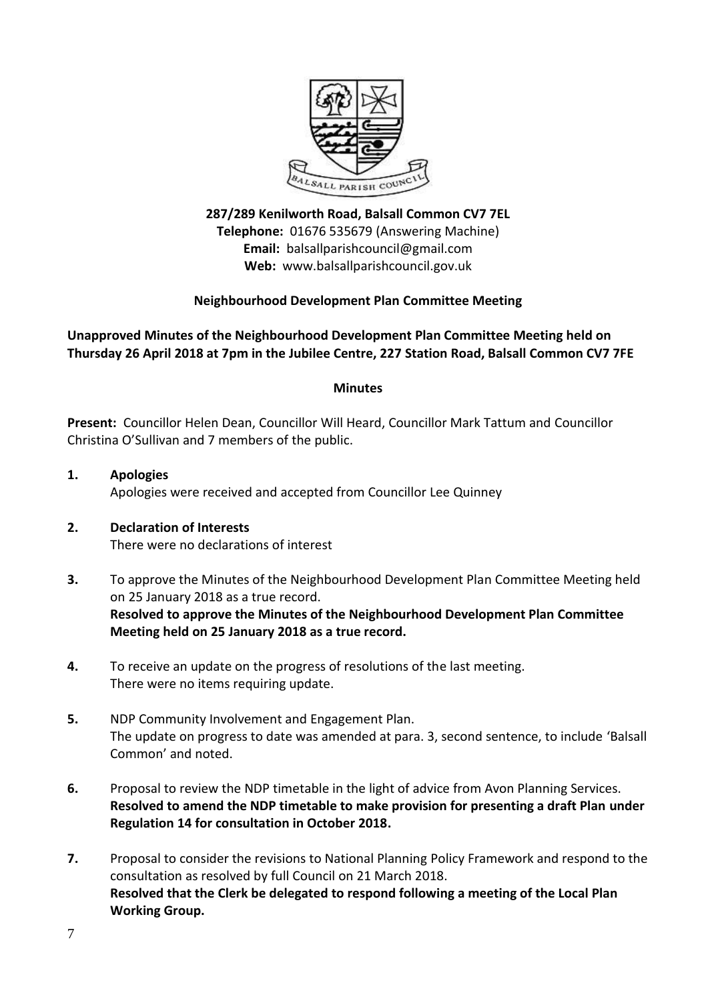

**287/289 Kenilworth Road, Balsall Common CV7 7EL Telephone:** 01676 535679 (Answering Machine) **Email:** balsallparishcouncil@gmail.com **Web:** www.balsallparishcouncil.gov.uk

## **Neighbourhood Development Plan Committee Meeting**

## **Unapproved Minutes of the Neighbourhood Development Plan Committee Meeting held on Thursday 26 April 2018 at 7pm in the Jubilee Centre, 227 Station Road, Balsall Common CV7 7FE**

#### **Minutes**

**Present:** Councillor Helen Dean, Councillor Will Heard, Councillor Mark Tattum and Councillor Christina O'Sullivan and 7 members of the public.

- **1. Apologies** Apologies were received and accepted from Councillor Lee Quinney
- **2. Declaration of Interests** There were no declarations of interest
- **3.** To approve the Minutes of the Neighbourhood Development Plan Committee Meeting held on 25 January 2018 as a true record. **Resolved to approve the Minutes of the Neighbourhood Development Plan Committee Meeting held on 25 January 2018 as a true record.**
- **4.** To receive an update on the progress of resolutions of the last meeting. There were no items requiring update.
- **5.** NDP Community Involvement and Engagement Plan. The update on progress to date was amended at para. 3, second sentence, to include 'Balsall Common' and noted.
- **6.** Proposal to review the NDP timetable in the light of advice from Avon Planning Services. **Resolved to amend the NDP timetable to make provision for presenting a draft Plan under Regulation 14 for consultation in October 2018.**
- **7.** Proposal to consider the revisions to National Planning Policy Framework and respond to the consultation as resolved by full Council on 21 March 2018. **Resolved that the Clerk be delegated to respond following a meeting of the Local Plan Working Group.**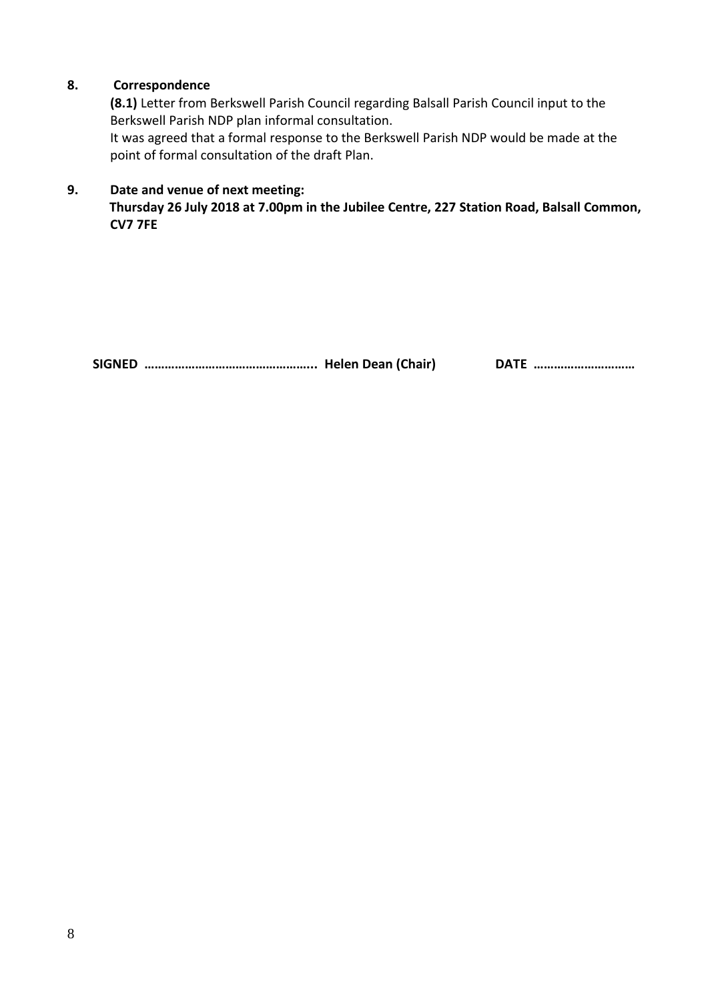# **8. Correspondence**

**(8.1)** Letter from Berkswell Parish Council regarding Balsall Parish Council input to the Berkswell Parish NDP plan informal consultation.

It was agreed that a formal response to the Berkswell Parish NDP would be made at the point of formal consultation of the draft Plan.

## **9. Date and venue of next meeting:**

**Thursday 26 July 2018 at 7.00pm in the Jubilee Centre, 227 Station Road, Balsall Common, CV7 7FE** 

**SIGNED …………………………………………... Helen Dean (Chair) DATE …………………………**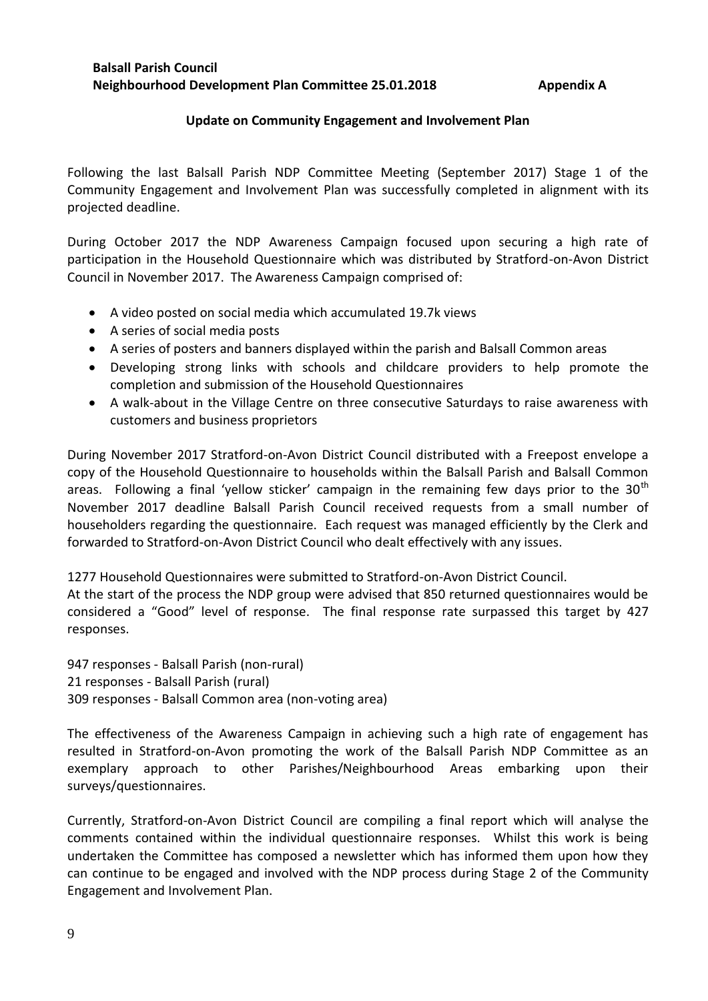## **Update on Community Engagement and Involvement Plan**

Following the last Balsall Parish NDP Committee Meeting (September 2017) Stage 1 of the Community Engagement and Involvement Plan was successfully completed in alignment with its projected deadline.

During October 2017 the NDP Awareness Campaign focused upon securing a high rate of participation in the Household Questionnaire which was distributed by Stratford-on-Avon District Council in November 2017. The Awareness Campaign comprised of:

- A video posted on social media which accumulated 19.7k views
- A series of social media posts
- A series of posters and banners displayed within the parish and Balsall Common areas
- Developing strong links with schools and childcare providers to help promote the completion and submission of the Household Questionnaires
- A walk-about in the Village Centre on three consecutive Saturdays to raise awareness with customers and business proprietors

During November 2017 Stratford-on-Avon District Council distributed with a Freepost envelope a copy of the Household Questionnaire to households within the Balsall Parish and Balsall Common areas. Following a final 'yellow sticker' campaign in the remaining few days prior to the  $30<sup>th</sup>$ November 2017 deadline Balsall Parish Council received requests from a small number of householders regarding the questionnaire. Each request was managed efficiently by the Clerk and forwarded to Stratford-on-Avon District Council who dealt effectively with any issues.

1277 Household Questionnaires were submitted to Stratford-on-Avon District Council.

At the start of the process the NDP group were advised that 850 returned questionnaires would be considered a "Good" level of response. The final response rate surpassed this target by 427 responses.

947 responses - Balsall Parish (non-rural) 21 responses - Balsall Parish (rural) 309 responses - Balsall Common area (non-voting area)

The effectiveness of the Awareness Campaign in achieving such a high rate of engagement has resulted in Stratford-on-Avon promoting the work of the Balsall Parish NDP Committee as an exemplary approach to other Parishes/Neighbourhood Areas embarking upon their surveys/questionnaires.

Currently, Stratford-on-Avon District Council are compiling a final report which will analyse the comments contained within the individual questionnaire responses. Whilst this work is being undertaken the Committee has composed a newsletter which has informed them upon how they can continue to be engaged and involved with the NDP process during Stage 2 of the Community Engagement and Involvement Plan.